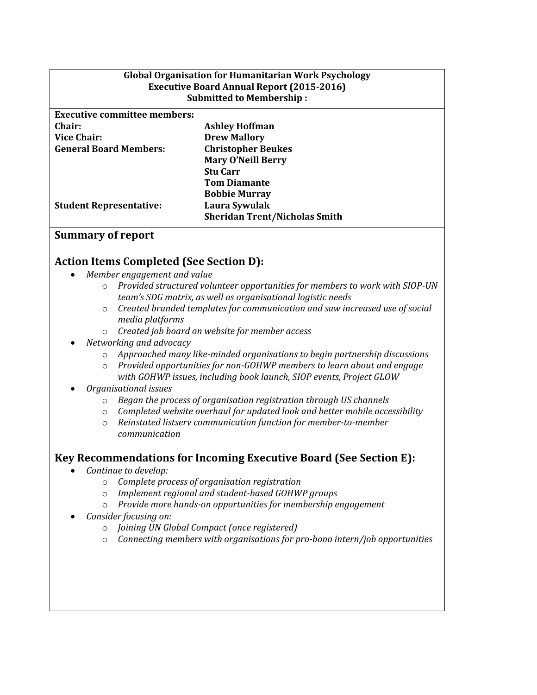| <b>Global Organisation for Humanitarian Work Psychology</b> |                                 |
|-------------------------------------------------------------|---------------------------------|
| <b>Executive Board Annual Report (2015-2016)</b>            |                                 |
|                                                             | <b>Submitted to Membership:</b> |
| <b>Executive committee members:</b>                         |                                 |
|                                                             |                                 |
| Chair:                                                      | <b>Ashley Hoffman</b>           |

**Drew Mallory**

**Chair: Vice Chair: General Board Members:**

**Student Representative:**

**Christopher Beukes Mary O'Neill Berry Stu Carr Tom Diamante Bobbie Murray Laura Sywulak Sheridan Trent/Nicholas Smith**

#### **Summary of report**

#### **Action Items Completed (See Section D):**

- *Member engagement and value*
	- o *Provided structured volunteer opportunities for members to work with SIOP-UN team's SDG matrix, as well as organisational logistic needs*
	- o *Created branded templates for communication and saw increased use of social media platforms*
	- o *Created job board on website for member access*
- *Networking and advocacy* 
	- o *Approached many like-minded organisations to begin partnership discussions*
	- o *Provided opportunities for non-GOHWP members to learn about and engage with GOHWP issues, including book launch, SIOP events, Project GLOW*
- *Organisational issues*
	- o *Began the process of organisation registration through US channels*
	- o *Completed website overhaul for updated look and better mobile accessibility*
	- o *Reinstated listserv communication function for member-to-member communication*

#### **Key Recommendations for Incoming Executive Board (See Section E):**

- *Continue to develop:*
	- o *Complete process of organisation registration*
	- o *Implement regional and student-based GOHWP groups*
	- o *Provide more hands-on opportunities for membership engagement*
- *Consider focusing on:* 
	- o *Joining UN Global Compact (once registered)*
	- o *Connecting members with organisations for pro-bono intern/job opportunities*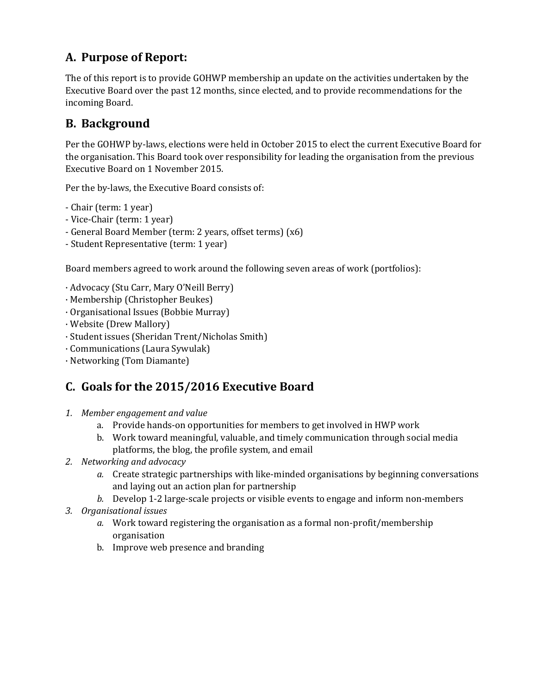# **A. Purpose of Report:**

The of this report is to provide GOHWP membership an update on the activities undertaken by the Executive Board over the past 12 months, since elected, and to provide recommendations for the incoming Board.

# **B. Background**

Per the GOHWP by-laws, elections were held in October 2015 to elect the current Executive Board for the organisation. This Board took over responsibility for leading the organisation from the previous Executive Board on 1 November 2015.

Per the by-laws, the Executive Board consists of:

- Chair (term: 1 year)
- Vice-Chair (term: 1 year)
- General Board Member (term: 2 years, offset terms) (x6)
- Student Representative (term: 1 year)

Board members agreed to work around the following seven areas of work (portfolios):

- · Advocacy (Stu Carr, Mary O'Neill Berry)
- · Membership (Christopher Beukes)
- · Organisational Issues (Bobbie Murray)
- · Website (Drew Mallory)
- · Student issues (Sheridan Trent/Nicholas Smith)
- · Communications (Laura Sywulak)
- · Networking (Tom Diamante)

# **C. Goals for the 2015/2016 Executive Board**

- *1. Member engagement and value*
	- a. Provide hands-on opportunities for members to get involved in HWP work
	- b. Work toward meaningful, valuable, and timely communication through social media platforms, the blog, the profile system, and email
- *2. Networking and advocacy* 
	- *a.* Create strategic partnerships with like-minded organisations by beginning conversations and laying out an action plan for partnership
	- *b.* Develop 1-2 large-scale projects or visible events to engage and inform non-members
- *3. Organisational issues*
	- *a.* Work toward registering the organisation as a formal non-profit/membership organisation
	- b. Improve web presence and branding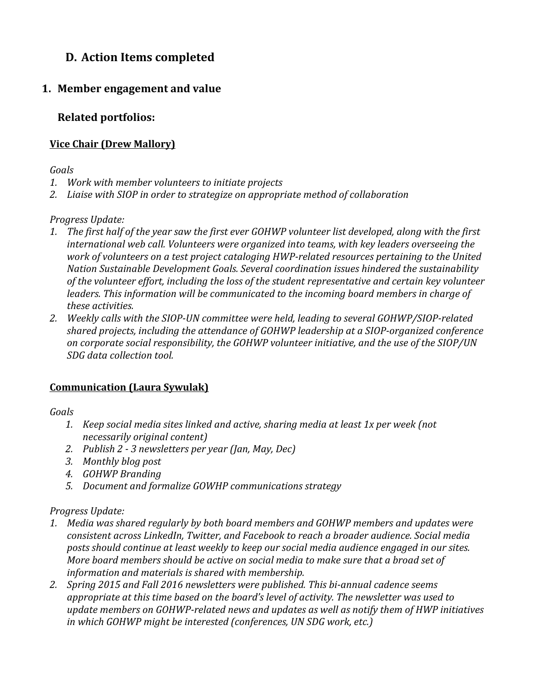# **D. Action Items completed**

## **1. Member engagement and value**

### **Related portfolios:**

#### **Vice Chair (Drew Mallory)**

#### *Goals*

- *1. Work with member volunteers to initiate projects*
- *2. Liaise with SIOP in order to strategize on appropriate method of collaboration*

#### *Progress Update:*

- 1. The first half of the year saw the first ever GOHWP volunteer list developed, along with the first *international web call. Volunteers were organized into teams, with key leaders overseeing the work of volunteers on a test project cataloging HWP-related resources pertaining to the United Nation Sustainable Development Goals. Several coordination issues hindered the sustainability of the volunteer effort, including the loss of the student representative and certain key volunteer leaders. This information will be communicated to the incoming board members in charge of these activities.*
- *2. Weekly calls with the SIOP-UN committee were held, leading to several GOHWP/SIOP-related shared projects, including the attendance of GOHWP leadership at a SIOP-organized conference on corporate social responsibility, the GOHWP volunteer initiative, and the use of the SIOP/UN SDG data collection tool.*

#### **Communication (Laura Sywulak)**

#### *Goals*

- *1. Keep social media sites linked and active, sharing media at least 1x per week (not necessarily original content)*
- *2. Publish 2 - 3 newsletters per year (Jan, May, Dec)*
- *3. Monthly blog post*
- *4. GOHWP Branding*
- *5. Document and formalize GOWHP communications strategy*

#### *Progress Update:*

- *1. Media was shared regularly by both board members and GOHWP members and updates were consistent across LinkedIn, Twitter, and Facebook to reach a broader audience. Social media posts should continue at least weekly to keep our social media audience engaged in our sites. More board members should be active on social media to make sure that a broad set of information and materials is shared with membership.*
- *2. Spring 2015 and Fall 2016 newsletters were published. This bi-annual cadence seems appropriate at this time based on the board's level of activity. The newsletter was used to update members on GOHWP-related news and updates as well as notify them of HWP initiatives in which GOHWP might be interested (conferences, UN SDG work, etc.)*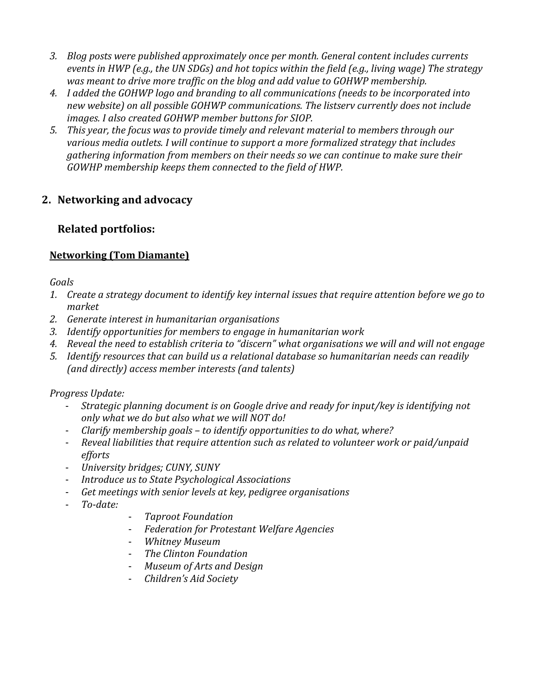- *3. Blog posts were published approximately once per month. General content includes currents events in HWP (e.g., the UN SDGs) and hot topics within the field (e.g., living wage) The strategy was meant to drive more traffic on the blog and add value to GOHWP membership.*
- *4. I added the GOHWP logo and branding to all communications (needs to be incorporated into new website) on all possible GOHWP communications. The listserv currently does not include images. I also created GOHWP member buttons for SIOP.*
- *5. This year, the focus was to provide timely and relevant material to members through our various media outlets. I will continue to support a more formalized strategy that includes gathering information from members on their needs so we can continue to make sure their GOWHP membership keeps them connected to the field of HWP.*

## **2. Networking and advocacy**

#### **Related portfolios:**

#### **Networking (Tom Diamante)**

#### *Goals*

- *1. Create a strategy document to identify key internal issues that require attention before we go to market*
- *2. Generate interest in humanitarian organisations*
- *3. Identify opportunities for members to engage in humanitarian work*
- *4. Reveal the need to establish criteria to "discern" what organisations we will and will not engage*
- *5. Identify resources that can build us a relational database so humanitarian needs can readily (and directly) access member interests (and talents)*

#### *Progress Update:*

- *Strategic planning document is on Google drive and ready for input/key is identifying not only what we do but also what we will NOT do!*
- *Clarify membership goals – to identify opportunities to do what, where?*
- *Reveal liabilities that require attention such as related to volunteer work or paid/unpaid efforts*
- *University bridges; CUNY, SUNY*
- *Introduce us to State Psychological Associations*
- *Get meetings with senior levels at key, pedigree organisations*
- *To-date:*
- *Taproot Foundation*
- *Federation for Protestant Welfare Agencies*
- *Whitney Museum*
- *The Clinton Foundation*
- *Museum of Arts and Design*
- *Children's Aid Society*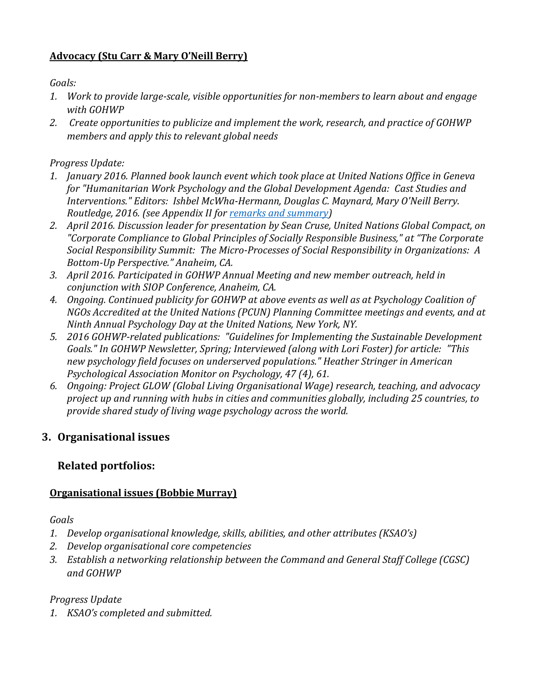### **Advocacy (Stu Carr & Mary O'Neill Berry)**

*Goals:* 

- *1. Work to provide large-scale, visible opportunities for non-members to learn about and engage with GOHWP*
- *2. Create opportunities to publicize and implement the work, research, and practice of GOHWP members and apply this to relevant global needs*

### *Progress Update:*

- *1. January 2016. Planned book launch event which took place at United Nations Office in Geneva for "Humanitarian Work Psychology and the Global Development Agenda: Cast Studies and Interventions." Editors: Ishbel McWha-Hermann, Douglas C. Maynard, Mary O'Neill Berry. Routledge, 2016. (see Appendix II for [remarks and summary\)](#page-7-0)*
- *2. April 2016. Discussion leader for presentation by Sean Cruse, United Nations Global Compact, on "Corporate Compliance to Global Principles of Socially Responsible Business," at "The Corporate Social Responsibility Summit: The Micro-Processes of Social Responsibility in Organizations: A Bottom-Up Perspective." Anaheim, CA.*
- *3. April 2016. Participated in GOHWP Annual Meeting and new member outreach, held in conjunction with SIOP Conference, Anaheim, CA.*
- *4. Ongoing. Continued publicity for GOHWP at above events as well as at Psychology Coalition of NGOs Accredited at the United Nations (PCUN) Planning Committee meetings and events, and at Ninth Annual Psychology Day at the United Nations, New York, NY.*
- *5. 2016 GOHWP-related publications: "Guidelines for Implementing the Sustainable Development Goals." In GOHWP Newsletter, Spring; Interviewed (along with Lori Foster) for article: "This new psychology field focuses on underserved populations." Heather Stringer in American Psychological Association Monitor on Psychology, 47 (4), 61.*
- *6. Ongoing: Project GLOW (Global Living Organisational Wage) research, teaching, and advocacy project up and running with hubs in cities and communities globally, including 25 countries, to provide shared study of living wage psychology across the world.*

## **3. Organisational issues**

## **Related portfolios:**

## **Organisational issues (Bobbie Murray)**

*Goals*

- *1. Develop organisational knowledge, skills, abilities, and other attributes (KSAO's)*
- *2. Develop organisational core competencies*
- *3. Establish a networking relationship between the Command and General Staff College (CGSC) and GOHWP*

## *Progress Update*

*1. KSAO's completed and submitted.*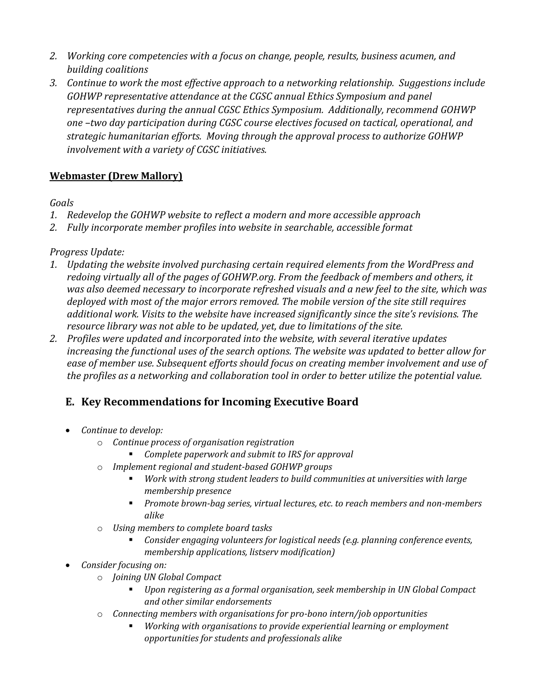- *2. Working core competencies with a focus on change, people, results, business acumen, and building coalitions*
- *3. Continue to work the most effective approach to a networking relationship. Suggestions include GOHWP representative attendance at the CGSC annual Ethics Symposium and panel representatives during the annual CGSC Ethics Symposium. Additionally, recommend GOHWP one –two day participation during CGSC course electives focused on tactical, operational, and strategic humanitarian efforts. Moving through the approval process to authorize GOHWP involvement with a variety of CGSC initiatives.*

## **Webmaster (Drew Mallory)**

#### *Goals*

- *1. Redevelop the GOHWP website to reflect a modern and more accessible approach*
- *2. Fully incorporate member profiles into website in searchable, accessible format*

#### *Progress Update:*

- *1. Updating the website involved purchasing certain required elements from the WordPress and redoing virtually all of the pages of GOHWP.org. From the feedback of members and others, it was also deemed necessary to incorporate refreshed visuals and a new feel to the site, which was deployed with most of the major errors removed. The mobile version of the site still requires additional work. Visits to the website have increased significantly since the site's revisions. The resource library was not able to be updated, yet, due to limitations of the site.*
- *2. Profiles were updated and incorporated into the website, with several iterative updates increasing the functional uses of the search options. The website was updated to better allow for ease of member use. Subsequent efforts should focus on creating member involvement and use of the profiles as a networking and collaboration tool in order to better utilize the potential value.*

## **E. Key Recommendations for Incoming Executive Board**

- *Continue to develop:*
	- o *Continue process of organisation registration*
		- *Complete paperwork and submit to IRS for approval*
	- o *Implement regional and student-based GOHWP groups* 
		- *Work with strong student leaders to build communities at universities with large membership presence*
		- *Promote brown-bag series, virtual lectures, etc. to reach members and non-members alike*
	- o *Using members to complete board tasks*
		- *Consider engaging volunteers for logistical needs (e.g. planning conference events, membership applications, listserv modification)*
- *Consider focusing on:* 
	- o *Joining UN Global Compact*
		- *Upon registering as a formal organisation, seek membership in UN Global Compact and other similar endorsements*
	- o *Connecting members with organisations for pro-bono intern/job opportunities*
		- *Working with organisations to provide experiential learning or employment opportunities for students and professionals alike*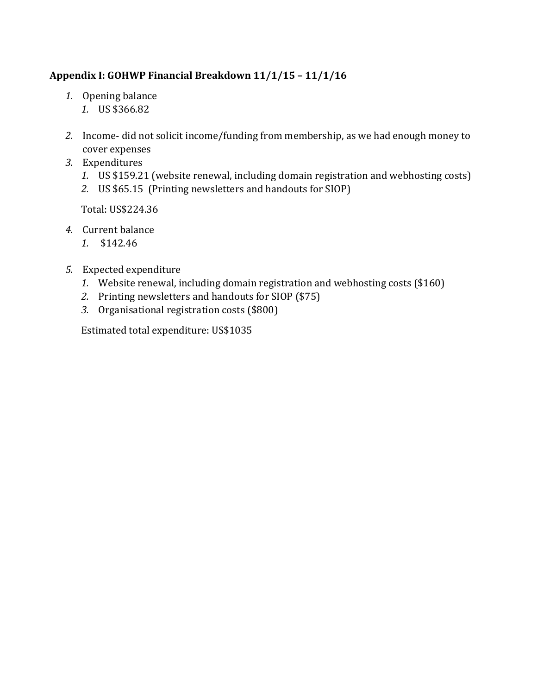## **Appendix I: GOHWP Financial Breakdown 11/1/15 – 11/1/16**

- *1.* Opening balance
	- *1.* US \$366.82
- *2.* Income- did not solicit income/funding from membership, as we had enough money to cover expenses
- *3.* Expenditures
	- *1.* US \$159.21 (website renewal, including domain registration and webhosting costs)
	- *2.* US \$65.15 (Printing newsletters and handouts for SIOP)

Total: US\$224.36

- *4.* Current balance
	- *1.* \$142.46
- *5.* Expected expenditure
	- *1.* Website renewal, including domain registration and webhosting costs (\$160)
	- *2.* Printing newsletters and handouts for SIOP (\$75)
	- *3.* Organisational registration costs (\$800)

Estimated total expenditure: US\$1035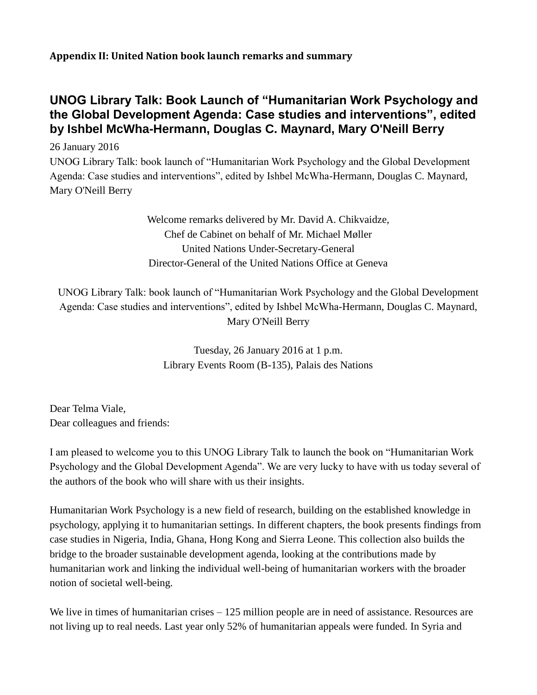**Appendix II: United Nation book launch remarks and summary**

# <span id="page-7-0"></span>**UNOG Library Talk: Book Launch of "Humanitarian Work Psychology and the Global Development Agenda: Case studies and interventions", edited by Ishbel McWha-Hermann, Douglas C. Maynard, Mary O'Neill Berry**

26 January 2016 UNOG Library Talk: book launch of "Humanitarian Work Psychology and the Global Development Agenda: Case studies and interventions", edited by Ishbel McWha-Hermann, Douglas C. Maynard, Mary O'Neill Berry

> Welcome remarks delivered by Mr. David A. Chikvaidze, Chef de Cabinet on behalf of Mr. Michael Møller United Nations Under-Secretary-General Director-General of the United Nations Office at Geneva

UNOG Library Talk: book launch of "Humanitarian Work Psychology and the Global Development Agenda: Case studies and interventions", edited by Ishbel McWha-Hermann, Douglas C. Maynard, Mary O'Neill Berry

> Tuesday, 26 January 2016 at 1 p.m. Library Events Room (B-135), Palais des Nations

Dear Telma Viale, Dear colleagues and friends:

I am pleased to welcome you to this UNOG Library Talk to launch the book on "Humanitarian Work Psychology and the Global Development Agenda". We are very lucky to have with us today several of the authors of the book who will share with us their insights.

Humanitarian Work Psychology is a new field of research, building on the established knowledge in psychology, applying it to humanitarian settings. In different chapters, the book presents findings from case studies in Nigeria, India, Ghana, Hong Kong and Sierra Leone. This collection also builds the bridge to the broader sustainable development agenda, looking at the contributions made by humanitarian work and linking the individual well-being of humanitarian workers with the broader notion of societal well-being.

We live in times of humanitarian crises – 125 million people are in need of assistance. Resources are not living up to real needs. Last year only 52% of humanitarian appeals were funded. In Syria and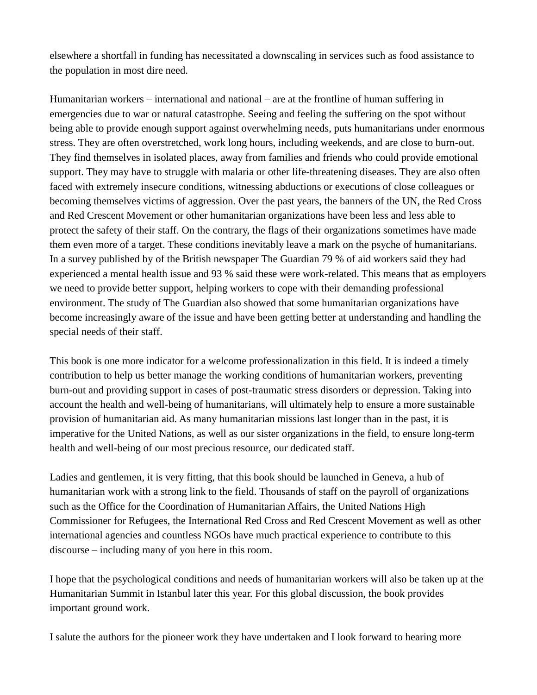elsewhere a shortfall in funding has necessitated a downscaling in services such as food assistance to the population in most dire need.

Humanitarian workers – international and national – are at the frontline of human suffering in emergencies due to war or natural catastrophe. Seeing and feeling the suffering on the spot without being able to provide enough support against overwhelming needs, puts humanitarians under enormous stress. They are often overstretched, work long hours, including weekends, and are close to burn-out. They find themselves in isolated places, away from families and friends who could provide emotional support. They may have to struggle with malaria or other life-threatening diseases. They are also often faced with extremely insecure conditions, witnessing abductions or executions of close colleagues or becoming themselves victims of aggression. Over the past years, the banners of the UN, the Red Cross and Red Crescent Movement or other humanitarian organizations have been less and less able to protect the safety of their staff. On the contrary, the flags of their organizations sometimes have made them even more of a target. These conditions inevitably leave a mark on the psyche of humanitarians. In a survey published by of the British newspaper The Guardian 79 % of aid workers said they had experienced a mental health issue and 93 % said these were work-related. This means that as employers we need to provide better support, helping workers to cope with their demanding professional environment. The study of The Guardian also showed that some humanitarian organizations have become increasingly aware of the issue and have been getting better at understanding and handling the special needs of their staff.

This book is one more indicator for a welcome professionalization in this field. It is indeed a timely contribution to help us better manage the working conditions of humanitarian workers, preventing burn-out and providing support in cases of post-traumatic stress disorders or depression. Taking into account the health and well-being of humanitarians, will ultimately help to ensure a more sustainable provision of humanitarian aid. As many humanitarian missions last longer than in the past, it is imperative for the United Nations, as well as our sister organizations in the field, to ensure long-term health and well-being of our most precious resource, our dedicated staff.

Ladies and gentlemen, it is very fitting, that this book should be launched in Geneva, a hub of humanitarian work with a strong link to the field. Thousands of staff on the payroll of organizations such as the Office for the Coordination of Humanitarian Affairs, the United Nations High Commissioner for Refugees, the International Red Cross and Red Crescent Movement as well as other international agencies and countless NGOs have much practical experience to contribute to this discourse – including many of you here in this room.

I hope that the psychological conditions and needs of humanitarian workers will also be taken up at the Humanitarian Summit in Istanbul later this year. For this global discussion, the book provides important ground work.

I salute the authors for the pioneer work they have undertaken and I look forward to hearing more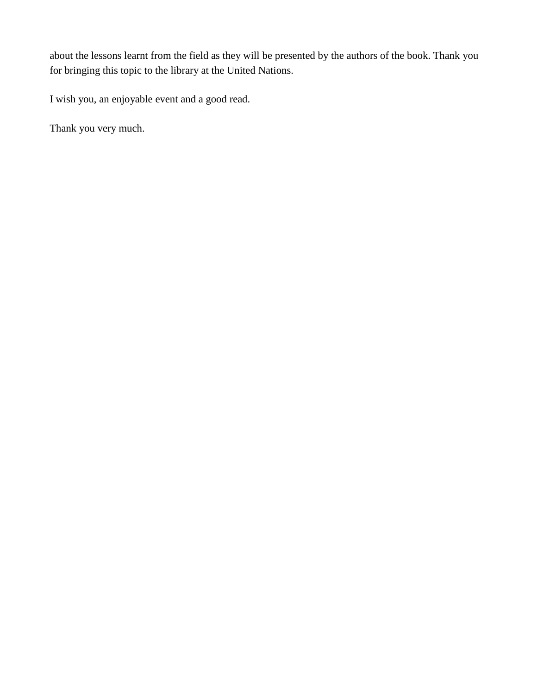about the lessons learnt from the field as they will be presented by the authors of the book. Thank you for bringing this topic to the library at the United Nations.

I wish you, an enjoyable event and a good read.

Thank you very much.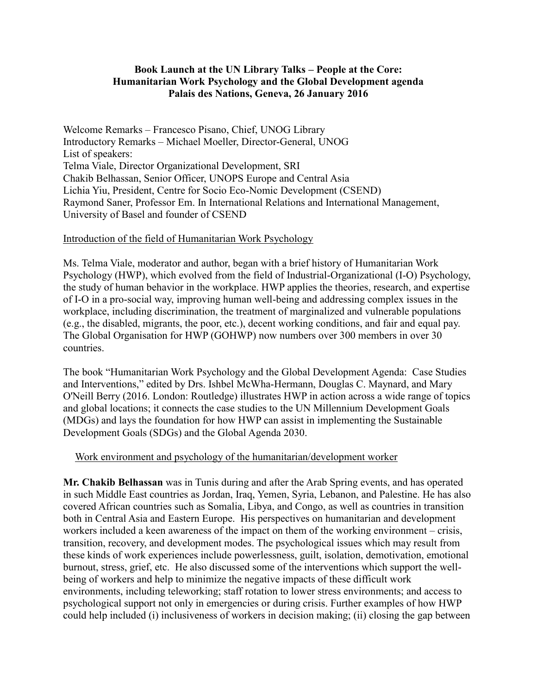#### **Book Launch at the UN Library Talks – People at the Core: Humanitarian Work Psychology and the Global Development agenda Palais des Nations, Geneva, 26 January 2016**

Welcome Remarks – Francesco Pisano, Chief, UNOG Library Introductory Remarks – Michael Moeller, Director-General, UNOG List of speakers: Telma Viale, Director Organizational Development, SRI Chakib Belhassan, Senior Officer, UNOPS Europe and Central Asia Lichia Yiu, President, Centre for Socio Eco-Nomic Development (CSEND) Raymond Saner, Professor Em. In International Relations and International Management, University of Basel and founder of CSEND

#### Introduction of the field of Humanitarian Work Psychology

Ms. Telma Viale, moderator and author, began with a brief history of Humanitarian Work Psychology (HWP), which evolved from the field of Industrial-Organizational (I-O) Psychology, the study of human behavior in the workplace. HWP applies the theories, research, and expertise of I-O in a pro-social way, improving human well-being and addressing complex issues in the workplace, including discrimination, the treatment of marginalized and vulnerable populations (e.g., the disabled, migrants, the poor, etc.), decent working conditions, and fair and equal pay. The Global Organisation for HWP (GOHWP) now numbers over 300 members in over 30 countries.

The book "Humanitarian Work Psychology and the Global Development Agenda: Case Studies and Interventions," edited by Drs. Ishbel McWha-Hermann, Douglas C. Maynard, and Mary O'Neill Berry (2016. London: Routledge) illustrates HWP in action across a wide range of topics and global locations; it connects the case studies to the UN Millennium Development Goals (MDGs) and lays the foundation for how HWP can assist in implementing the Sustainable Development Goals (SDGs) and the Global Agenda 2030.

#### Work environment and psychology of the humanitarian/development worker

**Mr. Chakib Belhassan** was in Tunis during and after the Arab Spring events, and has operated in such Middle East countries as Jordan, Iraq, Yemen, Syria, Lebanon, and Palestine. He has also covered African countries such as Somalia, Libya, and Congo, as well as countries in transition both in Central Asia and Eastern Europe. His perspectives on humanitarian and development workers included a keen awareness of the impact on them of the working environment – crisis, transition, recovery, and development modes. The psychological issues which may result from these kinds of work experiences include powerlessness, guilt, isolation, demotivation, emotional burnout, stress, grief, etc. He also discussed some of the interventions which support the wellbeing of workers and help to minimize the negative impacts of these difficult work environments, including teleworking; staff rotation to lower stress environments; and access to psychological support not only in emergencies or during crisis. Further examples of how HWP could help included (i) inclusiveness of workers in decision making; (ii) closing the gap between